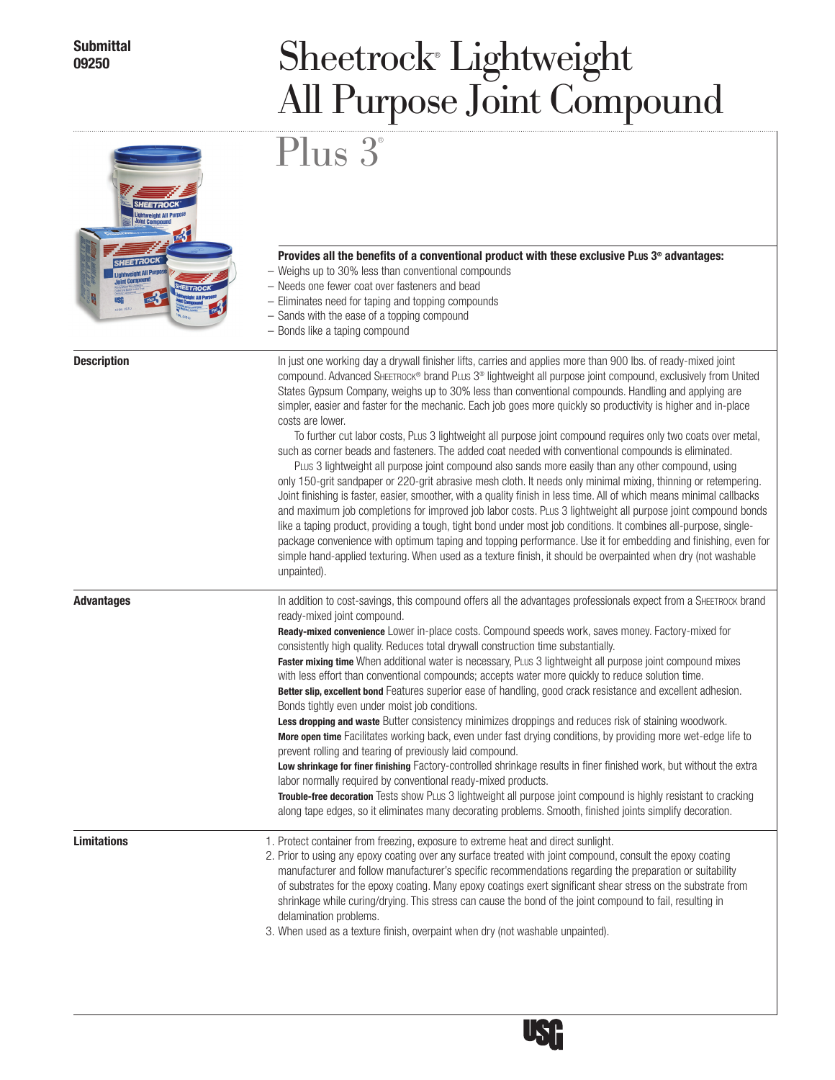## **Submittal**

## Sheetrock<sup>®</sup> Lightweight All Purpose Joint Compound

## Provides all the benefits of a conventional product with these exclusive PLUS 3<sup>®</sup> advantages:

- – Weighs up to 30% less than conventional compounds
- – Needs one fewer coat over fasteners and bead
- – Eliminates need for taping and topping compounds
- – Sands with the ease of a topping compound
- – Bonds like a taping compound

Plus 3 ®

Description **Description In just one working day a drywall finisher lifts, carries and applies more than 900 lbs. of ready-mixed joint** compound. Advanced SHEETROCK® brand PLus 3® lightweight all purpose joint compound, exclusively from United States Gypsum Company, weighs up to 30% less than conventional compounds. Handling and applying are simpler, easier and faster for the mechanic. Each job goes more quickly so productivity is higher and in-place costs are lower.

> To further cut labor costs, Plus 3 lightweight all purpose joint compound requires only two coats over metal, such as corner beads and fasteners. The added coat needed with conventional compounds is eliminated.

PLUS 3 lightweight all purpose joint compound also sands more easily than any other compound, using only 150-grit sandpaper or 220-grit abrasive mesh cloth. It needs only minimal mixing, thinning or retempering. Joint finishing is faster, easier, smoother, with a quality finish in less time. All of which means minimal callbacks and maximum job completions for improved job labor costs. Plus 3 lightweight all purpose joint compound bonds like a taping product, providing a tough, tight bond under most job conditions. It combines all-purpose, singlepackage convenience with optimum taping and topping performance. Use it for embedding and finishing, even for simple hand-applied texturing. When used as a texture finish, it should be overpainted when dry (not washable unpainted).

Advantages **Advantages In addition to cost-savings**, this compound offers all the advantages professionals expect from a SHEETROCK brand ready-mixed joint compound.

Ready-mixed convenience Lower in-place costs. Compound speeds work, saves money. Factory-mixed for consistently high quality. Reduces total drywall construction time substantially.

Faster mixing time When additional water is necessary, PLUS 3 lightweight all purpose joint compound mixes with less effort than conventional compounds; accepts water more quickly to reduce solution time.

Better slip, excellent bond Features superior ease of handling, good crack resistance and excellent adhesion. Bonds tightly even under moist job conditions.

Less dropping and waste Butter consistency minimizes droppings and reduces risk of staining woodwork. More open time Facilitates working back, even under fast drying conditions, by providing more wet-edge life to prevent rolling and tearing of previously laid compound.

Low shrinkage for finer finishing Factory-controlled shrinkage results in finer finished work, but without the extra labor normally required by conventional ready-mixed products.

Trouble-free decoration Tests show PLUs 3 lightweight all purpose joint compound is highly resistant to cracking along tape edges, so it eliminates many decorating problems. Smooth, finished joints simplify decoration.

- **Limitations** 1. Protect container from freezing, exposure to extreme heat and direct sunlight.
	- 2. Prior to using any epoxy coating over any surface treated with joint compound, consult the epoxy coating manufacturer and follow manufacturer's specific recommendations regarding the preparation or suitability of substrates for the epoxy coating. Many epoxy coatings exert significant shear stress on the substrate from shrinkage while curing/drying. This stress can cause the bond of the joint compound to fail, resulting in delamination problems.

3. When used as a texture finish, overpaint when dry (not washable unpainted).